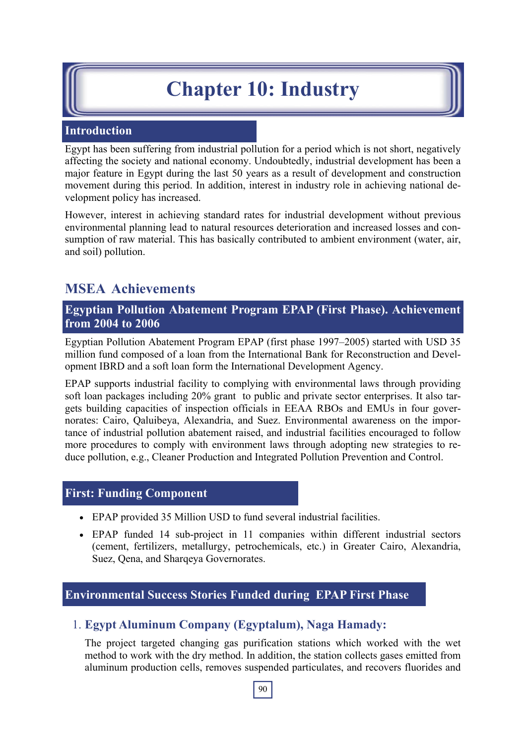# **Chapter 10: Industry**

# **Introduction**

Egypt has been suffering from industrial pollution for a period which is not short, negatively affecting the society and national economy. Undoubtedly, industrial development has been a major feature in Egypt during the last 50 years as a result of development and construction movement during this period. In addition, interest in industry role in achieving national development policy has increased.

However, interest in achieving standard rates for industrial development without previous environmental planning lead to natural resources deterioration and increased losses and consumption of raw material. This has basically contributed to ambient environment (water, air, and soil) pollution.

# **MSEA Achievements**

**Egyptian Pollution Abatement Program EPAP (First Phase). Achievement from 2004 to 2006**

Egyptian Pollution Abatement Program EPAP (first phase 1997–2005) started with USD 35 million fund composed of a loan from the International Bank for Reconstruction and Development IBRD and a soft loan form the International Development Agency.

EPAP supports industrial facility to complying with environmental laws through providing soft loan packages including 20% grant to public and private sector enterprises. It also targets building capacities of inspection officials in EEAA RBOs and EMUs in four governorates: Cairo, Qaluibeya, Alexandria, and Suez. Environmental awareness on the importance of industrial pollution abatement raised, and industrial facilities encouraged to follow more procedures to comply with environment laws through adopting new strategies to reduce pollution, e.g., Cleaner Production and Integrated Pollution Prevention and Control.

## **First: Funding Component**

- EPAP provided 35 Million USD to fund several industrial facilities.
- EPAP funded 14 sub-project in 11 companies within different industrial sectors (cement, fertilizers, metallurgy, petrochemicals, etc.) in Greater Cairo, Alexandria, Suez, Qena, and Sharqeya Governorates.

# **Environmental Success Stories Funded during EPAP First Phase**

# 1. **Egypt Aluminum Company (Egyptalum), Naga Hamady:**

The project targeted changing gas purification stations which worked with the wet method to work with the dry method. In addition, the station collects gases emitted from aluminum production cells, removes suspended particulates, and recovers fluorides and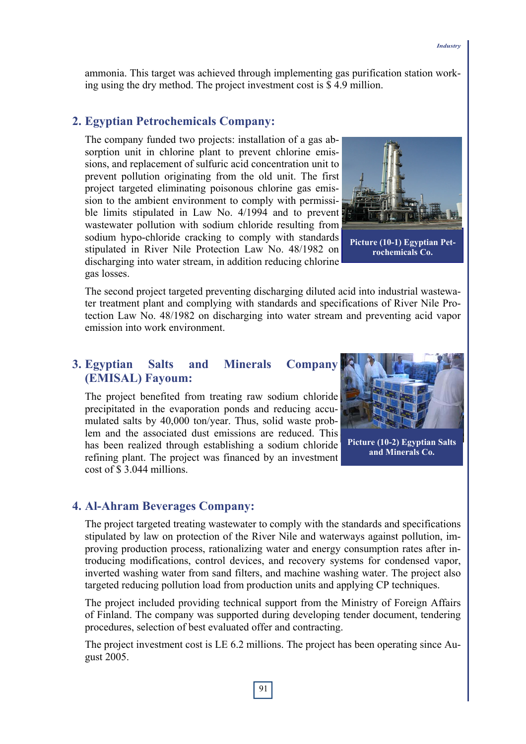ammonia. This target was achieved through implementing gas purification station working using the dry method. The project investment cost is \$ 4.9 million.

#### **2. Egyptian Petrochemicals Company:**

The company funded two projects: installation of a gas absorption unit in chlorine plant to prevent chlorine emissions, and replacement of sulfuric acid concentration unit to prevent pollution originating from the old unit. The first project targeted eliminating poisonous chlorine gas emission to the ambient environment to comply with permissible limits stipulated in Law No. 4/1994 and to prevent wastewater pollution with sodium chloride resulting from sodium hypo-chloride cracking to comply with standards stipulated in River Nile Protection Law No. 48/1982 on discharging into water stream, in addition reducing chlorine gas losses.



**Picture (10-1) Egyptian Petrochemicals Co.** 

The second project targeted preventing discharging diluted acid into industrial wastewater treatment plant and complying with standards and specifications of River Nile Protection Law No. 48/1982 on discharging into water stream and preventing acid vapor emission into work environment.

## **3. Egyptian Salts and Minerals Company (EMISAL) Fayoum:**

The project benefited from treating raw sodium chloride precipitated in the evaporation ponds and reducing accumulated salts by 40,000 ton/year. Thus, solid waste problem and the associated dust emissions are reduced. This has been realized through establishing a sodium chloride refining plant. The project was financed by an investment cost of \$ 3.044 millions.



**Picture (10-2) Egyptian Salts and Minerals Co.** 

#### **4. Al-Ahram Beverages Company:**

The project targeted treating wastewater to comply with the standards and specifications stipulated by law on protection of the River Nile and waterways against pollution, improving production process, rationalizing water and energy consumption rates after introducing modifications, control devices, and recovery systems for condensed vapor, inverted washing water from sand filters, and machine washing water. The project also targeted reducing pollution load from production units and applying CP techniques.

The project included providing technical support from the Ministry of Foreign Affairs of Finland. The company was supported during developing tender document, tendering procedures, selection of best evaluated offer and contracting.

The project investment cost is LE 6.2 millions. The project has been operating since August 2005.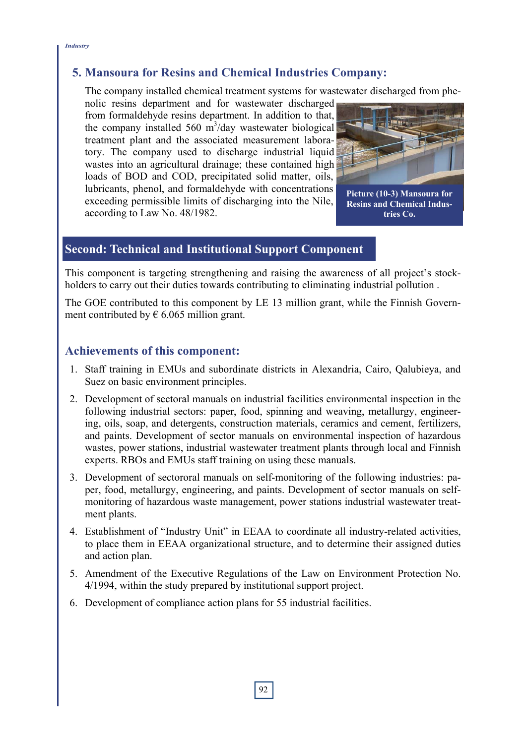# **5. Mansoura for Resins and Chemical Industries Company:**

The company installed chemical treatment systems for wastewater discharged from phe-

nolic resins department and for wastewater discharged from formaldehyde resins department. In addition to that, the company installed 560  $\text{m}^3/\text{day}$  wastewater biological treatment plant and the associated measurement laboratory. The company used to discharge industrial liquid wastes into an agricultural drainage; these contained high loads of BOD and COD, precipitated solid matter, oils, lubricants, phenol, and formaldehyde with concentrations exceeding permissible limits of discharging into the Nile, according to Law No. 48/1982.



**Picture (10-3) Mansoura for Resins and Chemical Industries Co.** 

# **Second: Technical and Institutional Support Component**

This component is targeting strengthening and raising the awareness of all project's stockholders to carry out their duties towards contributing to eliminating industrial pollution .

The GOE contributed to this component by LE 13 million grant, while the Finnish Government contributed by  $\epsilon$  6.065 million grant.

# **Achievements of this component:**

- 1. Staff training in EMUs and subordinate districts in Alexandria, Cairo, Qalubieya, and Suez on basic environment principles.
- 2. Development of sectoral manuals on industrial facilities environmental inspection in the following industrial sectors: paper, food, spinning and weaving, metallurgy, engineering, oils, soap, and detergents, construction materials, ceramics and cement, fertilizers, and paints. Development of sector manuals on environmental inspection of hazardous wastes, power stations, industrial wastewater treatment plants through local and Finnish experts. RBOs and EMUs staff training on using these manuals.
- 3. Development of sectororal manuals on self-monitoring of the following industries: paper, food, metallurgy, engineering, and paints. Development of sector manuals on selfmonitoring of hazardous waste management, power stations industrial wastewater treatment plants.
- 4. Establishment of "Industry Unit" in EEAA to coordinate all industry-related activities, to place them in EEAA organizational structure, and to determine their assigned duties and action plan.
- 5. Amendment of the Executive Regulations of the Law on Environment Protection No. 4/1994, within the study prepared by institutional support project.
- 6. Development of compliance action plans for 55 industrial facilities.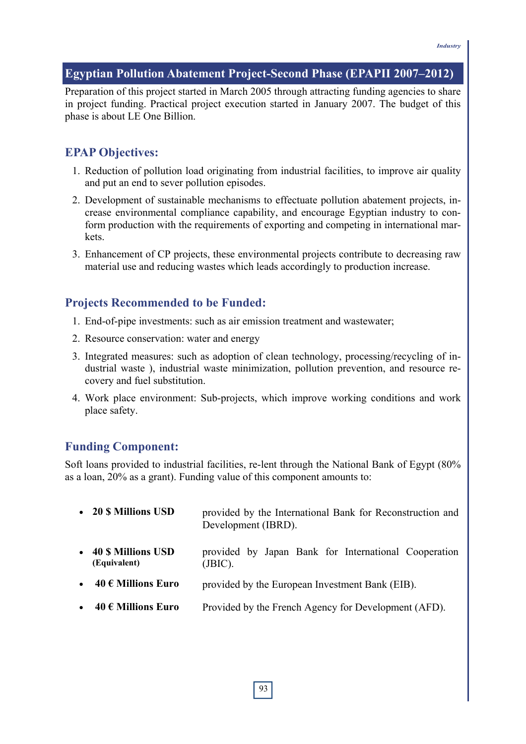## **Egyptian Pollution Abatement Project-Second Phase (EPAPII 2007–2012)**

Preparation of this project started in March 2005 through attracting funding agencies to share in project funding. Practical project execution started in January 2007. The budget of this phase is about LE One Billion.

## **EPAP Objectives:**

- 1. Reduction of pollution load originating from industrial facilities, to improve air quality and put an end to sever pollution episodes.
- 2. Development of sustainable mechanisms to effectuate pollution abatement projects, increase environmental compliance capability, and encourage Egyptian industry to conform production with the requirements of exporting and competing in international markets.
- 3. Enhancement of CP projects, these environmental projects contribute to decreasing raw material use and reducing wastes which leads accordingly to production increase.

## **Projects Recommended to be Funded:**

- 1. End-of-pipe investments: such as air emission treatment and wastewater;
- 2. Resource conservation: water and energy
- 3. Integrated measures: such as adoption of clean technology, processing/recycling of industrial waste ), industrial waste minimization, pollution prevention, and resource recovery and fuel substitution.
- 4. Work place environment: Sub-projects, which improve working conditions and work place safety.

### **Funding Component:**

Soft loans provided to industrial facilities, re-lent through the National Bank of Egypt (80% as a loan, 20% as a grant). Funding value of this component amounts to:

|           | • 20 \$ Millions USD                      | provided by the International Bank for Reconstruction and<br>Development (IBRD). |
|-----------|-------------------------------------------|----------------------------------------------------------------------------------|
| $\bullet$ | <b>40 \$ Millions USD</b><br>(Equivalent) | provided by Japan Bank for International Cooperation<br>(BIC).                   |
| $\bullet$ | 40 € Millions Euro                        | provided by the European Investment Bank (EIB).                                  |
| $\bullet$ | 40 € Millions Euro                        | Provided by the French Agency for Development (AFD).                             |